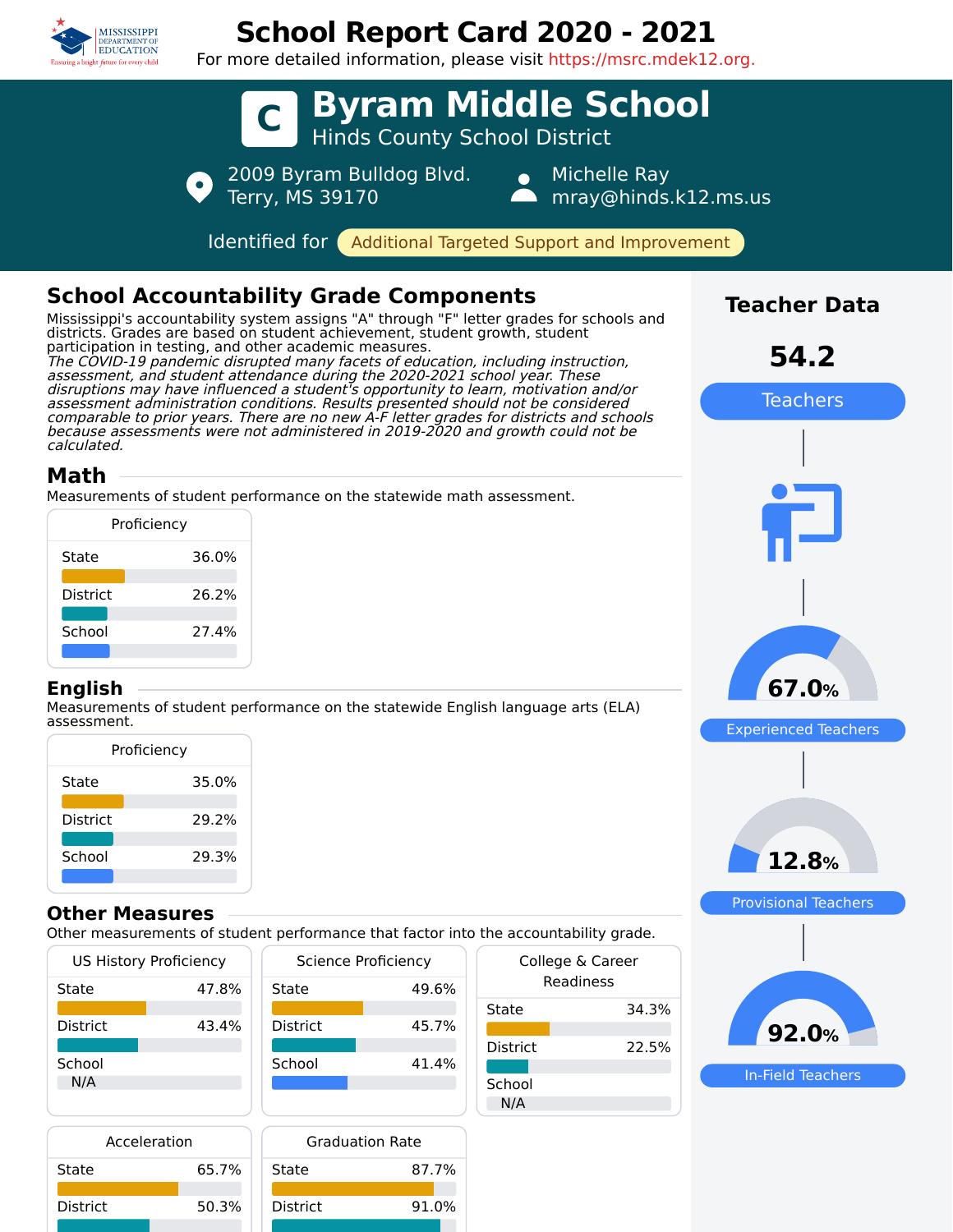

District 50.3%

District 91.0%

# **School Report Card 2020 - 2021**

For more detailed information, please visit https://msrc.mdek12.org.